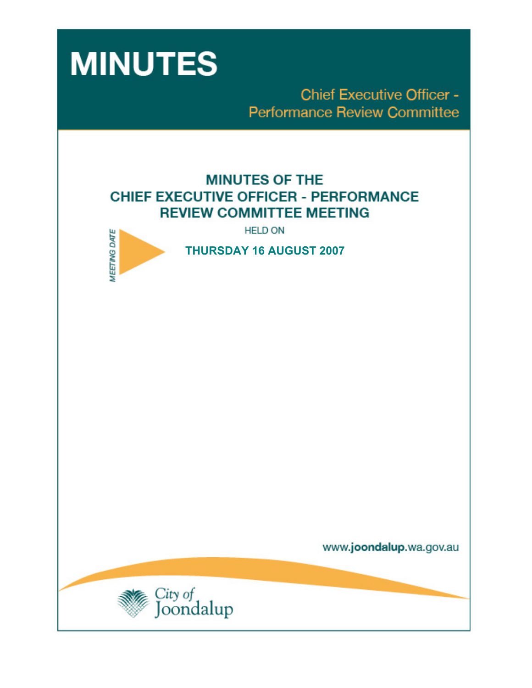

**Chief Executive Officer -Performance Review Committee** 

# **MINUTES OF THE CHIEF EXECUTIVE OFFICER - PERFORMANCE REVIEW COMMITTEE MEETING**

**HELD ON** 



**THURSDAY 16 AUGUST 2007** 

www.joondalup.wa.gov.au

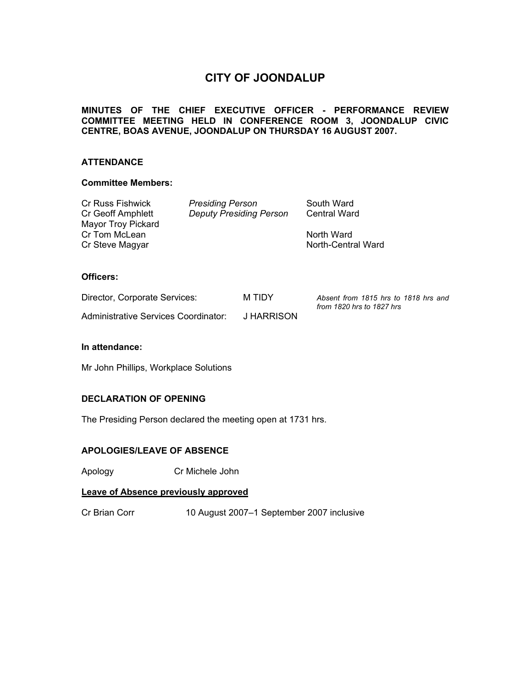## **CITY OF JOONDALUP**

## **MINUTES OF THE CHIEF EXECUTIVE OFFICER - PERFORMANCE REVIEW COMMITTEE MEETING HELD IN CONFERENCE ROOM 3, JOONDALUP CIVIC CENTRE, BOAS AVENUE, JOONDALUP ON THURSDAY 16 AUGUST 2007.**

## **ATTENDANCE**

## **Committee Members:**

| <b>Presiding Person</b>        | South Ward          |
|--------------------------------|---------------------|
| <b>Deputy Presiding Person</b> | <b>Central Ward</b> |
|                                |                     |
|                                | North Ward          |
|                                | North-Central Ward  |
|                                |                     |

## **Officers:**

| Director, Corporate Services:        | M TIDY     | Absent from 1815 hrs to 1818 hrs and<br>from 1820 hrs to 1827 hrs |
|--------------------------------------|------------|-------------------------------------------------------------------|
| Administrative Services Coordinator: | J HARRISON |                                                                   |

#### **In attendance:**

Mr John Phillips, Workplace Solutions

## **DECLARATION OF OPENING**

The Presiding Person declared the meeting open at 1731 hrs.

## **APOLOGIES/LEAVE OF ABSENCE**

Apology Cr Michele John

## **Leave of Absence previously approved**

Cr Brian Corr 10 August 2007–1 September 2007 inclusive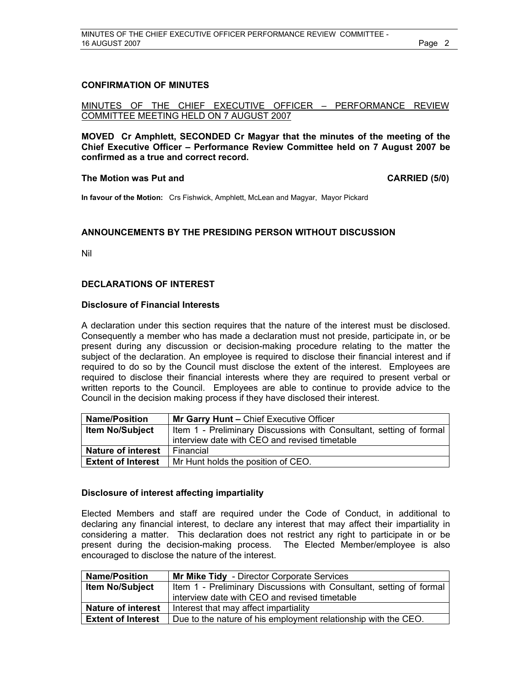#### **CONFIRMATION OF MINUTES**

MINUTES OF THE CHIEF EXECUTIVE OFFICER – PERFORMANCE REVIEW COMMITTEE MEETING HELD ON 7 AUGUST 2007

**MOVED Cr Amphlett, SECONDED Cr Magyar that the minutes of the meeting of the Chief Executive Officer – Performance Review Committee held on 7 August 2007 be confirmed as a true and correct record.** 

#### **The Motion was Put and CARRIED (5/0) CARRIED (5/0)**

**In favour of the Motion:** Crs Fishwick, Amphlett, McLean and Magyar, Mayor Pickard

#### **ANNOUNCEMENTS BY THE PRESIDING PERSON WITHOUT DISCUSSION**

Nil

#### **DECLARATIONS OF INTEREST**

#### **Disclosure of Financial Interests**

A declaration under this section requires that the nature of the interest must be disclosed. Consequently a member who has made a declaration must not preside, participate in, or be present during any discussion or decision-making procedure relating to the matter the subject of the declaration. An employee is required to disclose their financial interest and if required to do so by the Council must disclose the extent of the interest. Employees are required to disclose their financial interests where they are required to present verbal or written reports to the Council. Employees are able to continue to provide advice to the Council in the decision making process if they have disclosed their interest.

| <b>Name/Position</b>      | Mr Garry Hunt - Chief Executive Officer                             |
|---------------------------|---------------------------------------------------------------------|
| <b>Item No/Subject</b>    | Item 1 - Preliminary Discussions with Consultant, setting of formal |
|                           | interview date with CEO and revised timetable                       |
| <b>Nature of interest</b> | Financial                                                           |
| <b>Extent of Interest</b> | Mr Hunt holds the position of CEO.                                  |

#### **Disclosure of interest affecting impartiality**

Elected Members and staff are required under the Code of Conduct, in additional to declaring any financial interest, to declare any interest that may affect their impartiality in considering a matter. This declaration does not restrict any right to participate in or be present during the decision-making process. The Elected Member/employee is also encouraged to disclose the nature of the interest.

| <b>Name/Position</b>      | Mr Mike Tidy - Director Corporate Services                            |  |
|---------------------------|-----------------------------------------------------------------------|--|
| <b>Item No/Subject</b>    | I Item 1 - Preliminary Discussions with Consultant, setting of formal |  |
|                           | interview date with CEO and revised timetable                         |  |
| Nature of interest        | Interest that may affect impartiality                                 |  |
| <b>Extent of Interest</b> | Due to the nature of his employment relationship with the CEO.        |  |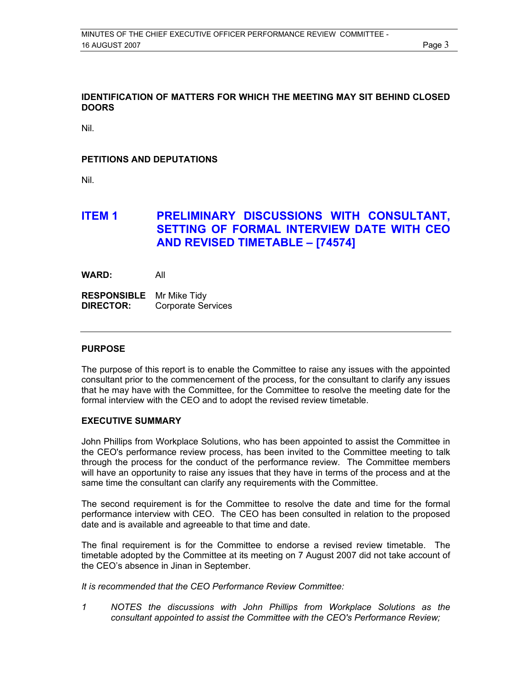## **IDENTIFICATION OF MATTERS FOR WHICH THE MEETING MAY SIT BEHIND CLOSED DOORS**

Nil.

## **PETITIONS AND DEPUTATIONS**

Nil.

## **ITEM 1 PRELIMINARY DISCUSSIONS WITH CONSULTANT. SETTING OF FORMAL INTERVIEW DATE WITH CEO AND REVISED TIMETABLE – [74574]**

**WARD:** All

**RESPONSIBLE** Mr Mike Tidy **DIRECTOR:** Corporate Services

#### **PURPOSE**

The purpose of this report is to enable the Committee to raise any issues with the appointed consultant prior to the commencement of the process, for the consultant to clarify any issues that he may have with the Committee, for the Committee to resolve the meeting date for the formal interview with the CEO and to adopt the revised review timetable.

## **EXECUTIVE SUMMARY**

John Phillips from Workplace Solutions, who has been appointed to assist the Committee in the CEO's performance review process, has been invited to the Committee meeting to talk through the process for the conduct of the performance review. The Committee members will have an opportunity to raise any issues that they have in terms of the process and at the same time the consultant can clarify any requirements with the Committee.

The second requirement is for the Committee to resolve the date and time for the formal performance interview with CEO. The CEO has been consulted in relation to the proposed date and is available and agreeable to that time and date.

The final requirement is for the Committee to endorse a revised review timetable. The timetable adopted by the Committee at its meeting on 7 August 2007 did not take account of the CEO's absence in Jinan in September.

*It is recommended that the CEO Performance Review Committee:* 

*1 NOTES the discussions with John Phillips from Workplace Solutions as the consultant appointed to assist the Committee with the CEO's Performance Review;*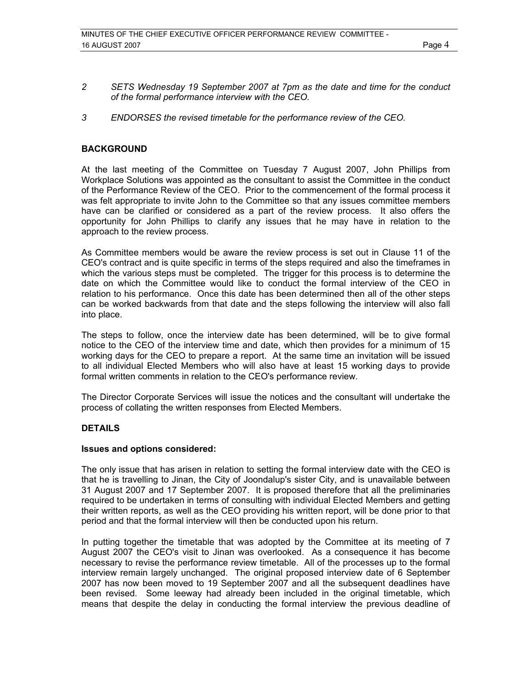- *2 SETS Wednesday 19 September 2007 at 7pm as the date and time for the conduct of the formal performance interview with the CEO.*
- *3 ENDORSES the revised timetable for the performance review of the CEO.*

## **BACKGROUND**

At the last meeting of the Committee on Tuesday 7 August 2007, John Phillips from Workplace Solutions was appointed as the consultant to assist the Committee in the conduct of the Performance Review of the CEO. Prior to the commencement of the formal process it was felt appropriate to invite John to the Committee so that any issues committee members have can be clarified or considered as a part of the review process. It also offers the opportunity for John Phillips to clarify any issues that he may have in relation to the approach to the review process.

As Committee members would be aware the review process is set out in Clause 11 of the CEO's contract and is quite specific in terms of the steps required and also the timeframes in which the various steps must be completed. The trigger for this process is to determine the date on which the Committee would like to conduct the formal interview of the CEO in relation to his performance. Once this date has been determined then all of the other steps can be worked backwards from that date and the steps following the interview will also fall into place.

The steps to follow, once the interview date has been determined, will be to give formal notice to the CEO of the interview time and date, which then provides for a minimum of 15 working days for the CEO to prepare a report. At the same time an invitation will be issued to all individual Elected Members who will also have at least 15 working days to provide formal written comments in relation to the CEO's performance review.

The Director Corporate Services will issue the notices and the consultant will undertake the process of collating the written responses from Elected Members.

#### **DETAILS**

#### **Issues and options considered:**

The only issue that has arisen in relation to setting the formal interview date with the CEO is that he is travelling to Jinan, the City of Joondalup's sister City, and is unavailable between 31 August 2007 and 17 September 2007. It is proposed therefore that all the preliminaries required to be undertaken in terms of consulting with individual Elected Members and getting their written reports, as well as the CEO providing his written report, will be done prior to that period and that the formal interview will then be conducted upon his return.

In putting together the timetable that was adopted by the Committee at its meeting of 7 August 2007 the CEO's visit to Jinan was overlooked. As a consequence it has become necessary to revise the performance review timetable. All of the processes up to the formal interview remain largely unchanged. The original proposed interview date of 6 September 2007 has now been moved to 19 September 2007 and all the subsequent deadlines have been revised. Some leeway had already been included in the original timetable, which means that despite the delay in conducting the formal interview the previous deadline of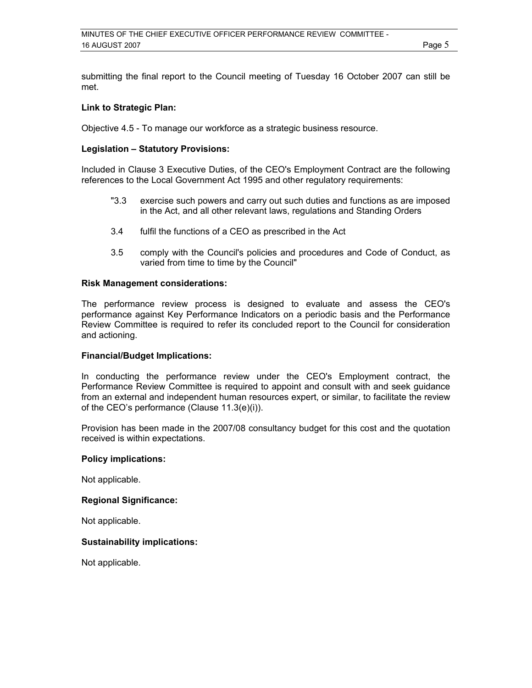submitting the final report to the Council meeting of Tuesday 16 October 2007 can still be met.

#### **Link to Strategic Plan:**

Objective 4.5 - To manage our workforce as a strategic business resource.

## **Legislation – Statutory Provisions:**

Included in Clause 3 Executive Duties, of the CEO's Employment Contract are the following references to the Local Government Act 1995 and other regulatory requirements:

- "3.3 exercise such powers and carry out such duties and functions as are imposed in the Act, and all other relevant laws, regulations and Standing Orders
- 3.4 fulfil the functions of a CEO as prescribed in the Act
- 3.5 comply with the Council's policies and procedures and Code of Conduct, as varied from time to time by the Council"

#### **Risk Management considerations:**

The performance review process is designed to evaluate and assess the CEO's performance against Key Performance Indicators on a periodic basis and the Performance Review Committee is required to refer its concluded report to the Council for consideration and actioning.

#### **Financial/Budget Implications:**

In conducting the performance review under the CEO's Employment contract, the Performance Review Committee is required to appoint and consult with and seek guidance from an external and independent human resources expert, or similar, to facilitate the review of the CEO's performance (Clause 11.3(e)(i)).

Provision has been made in the 2007/08 consultancy budget for this cost and the quotation received is within expectations.

#### **Policy implications:**

Not applicable.

#### **Regional Significance:**

Not applicable.

## **Sustainability implications:**

Not applicable.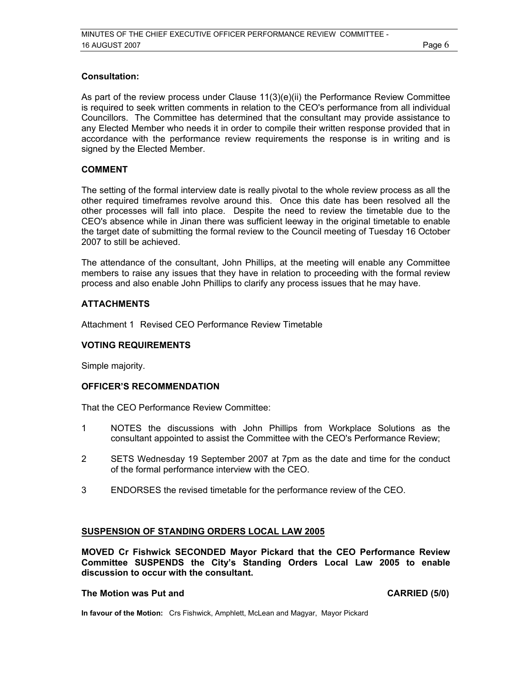## **Consultation:**

As part of the review process under Clause 11(3)(e)(ii) the Performance Review Committee is required to seek written comments in relation to the CEO's performance from all individual Councillors. The Committee has determined that the consultant may provide assistance to any Elected Member who needs it in order to compile their written response provided that in accordance with the performance review requirements the response is in writing and is signed by the Elected Member.

## **COMMENT**

The setting of the formal interview date is really pivotal to the whole review process as all the other required timeframes revolve around this. Once this date has been resolved all the other processes will fall into place. Despite the need to review the timetable due to the CEO's absence while in Jinan there was sufficient leeway in the original timetable to enable the target date of submitting the formal review to the Council meeting of Tuesday 16 October 2007 to still be achieved.

The attendance of the consultant, John Phillips, at the meeting will enable any Committee members to raise any issues that they have in relation to proceeding with the formal review process and also enable John Phillips to clarify any process issues that he may have.

## **ATTACHMENTS**

Attachment 1 Revised CEO Performance Review Timetable

#### **VOTING REQUIREMENTS**

Simple majority.

## **OFFICER'S RECOMMENDATION**

That the CEO Performance Review Committee:

- 1 NOTES the discussions with John Phillips from Workplace Solutions as the consultant appointed to assist the Committee with the CEO's Performance Review;
- 2 SETS Wednesday 19 September 2007 at 7pm as the date and time for the conduct of the formal performance interview with the CEO.
- 3 ENDORSES the revised timetable for the performance review of the CEO.

#### **SUSPENSION OF STANDING ORDERS LOCAL LAW 2005**

**MOVED Cr Fishwick SECONDED Mayor Pickard that the CEO Performance Review Committee SUSPENDS the City's Standing Orders Local Law 2005 to enable discussion to occur with the consultant.** 

## **The Motion was Put and CARRIED (5/0) CARRIED (5/0)**

**In favour of the Motion:** Crs Fishwick, Amphlett, McLean and Magyar, Mayor Pickard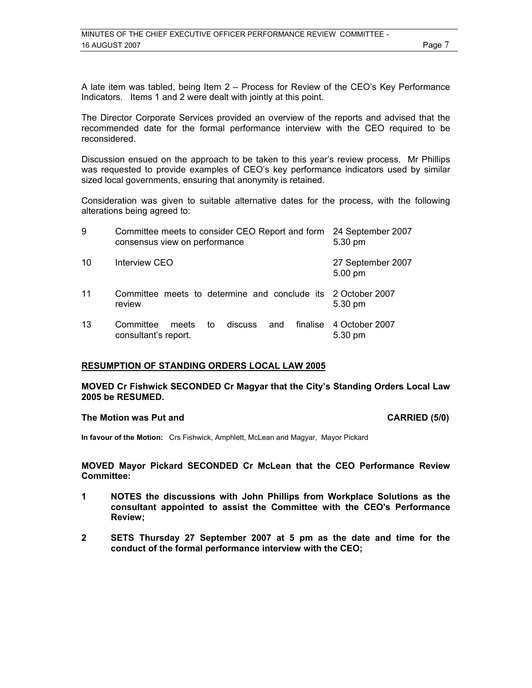A late item was tabled, being Item 2 – Process for Review of the CEO's Key Performance Indicators. Items 1 and 2 were dealt with jointly at this point.

The Director Corporate Services provided an overview of the reports and advised that the recommended date for the formal performance interview with the CEO required to be reconsidered.

Discussion ensued on the approach to be taken to this year's review process. Mr Phillips was requested to provide examples of CEO's key performance indicators used by similar sized local governments, ensuring that anonymity is retained.

Consideration was given to suitable alternative dates for the process, with the following alterations being agreed to:

| 9  | Committee meets to consider CEO Report and form 24 September 2007<br>consensus view on performance | 5.30 pm                            |
|----|----------------------------------------------------------------------------------------------------|------------------------------------|
| 10 | Interview CEO                                                                                      | 27 September 2007<br>5.00 pm       |
| 11 | Committee meets to determine and conclude its 2 October 2007<br>review                             | 5.30 pm                            |
| 13 | Committee<br>discuss and<br>meets<br>to<br>consultant's report.                                    | finalise 4 October 2007<br>5.30 pm |

#### **RESUMPTION OF STANDING ORDERS LOCAL LAW 2005**

**MOVED Cr Fishwick SECONDED Cr Magyar that the City's Standing Orders Local Law 2005 be RESUMED.** 

#### **The Motion was Put and CARRIED (5/0)**

**In favour of the Motion:** Crs Fishwick, Amphlett, McLean and Magyar, Mayor Pickard

**MOVED Mayor Pickard SECONDED Cr McLean that the CEO Performance Review Committee:** 

- **1 NOTES the discussions with John Phillips from Workplace Solutions as the consultant appointed to assist the Committee with the CEO's Performance Review;**
- **2 SETS Thursday 27 September 2007 at 5 pm as the date and time for the conduct of the formal performance interview with the CEO;**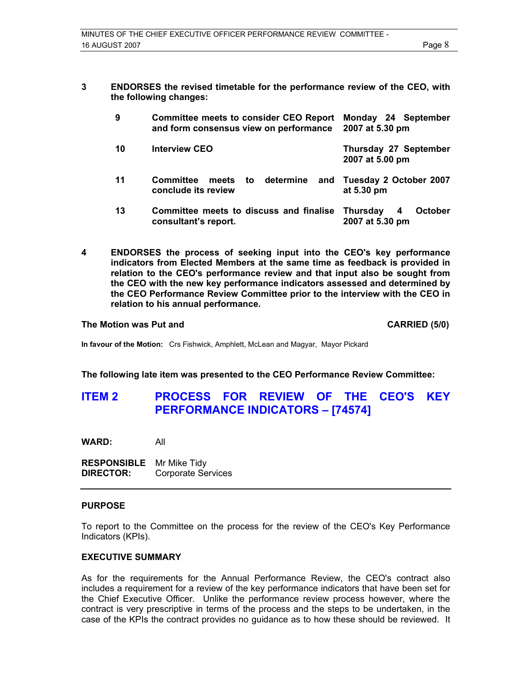**3 ENDORSES the revised timetable for the performance review of the CEO, with the following changes:** 

| 9  | <b>Committee meets to consider CEO Report</b><br>and form consensus view on performance | Monday 24 September<br>2007 at 5.30 pm             |
|----|-----------------------------------------------------------------------------------------|----------------------------------------------------|
| 10 | <b>Interview CEO</b>                                                                    | Thursday 27 September<br>2007 at 5.00 pm           |
| 11 | meets to determine and Tuesday 2 October 2007<br>Committee<br>conclude its review       | at 5.30 pm                                         |
| 13 | Committee meets to discuss and finalise<br>consultant's report.                         | Thursday<br><b>October</b><br>4<br>2007 at 5.30 pm |

**4 ENDORSES the process of seeking input into the CEO's key performance indicators from Elected Members at the same time as feedback is provided in relation to the CEO's performance review and that input also be sought from the CEO with the new key performance indicators assessed and determined by the CEO Performance Review Committee prior to the interview with the CEO in relation to his annual performance.** 

#### The Motion was Put and **CARRIED** (5/0)

**In favour of the Motion:** Crs Fishwick, Amphlett, McLean and Magyar, Mayor Pickard

**The following late item was presented to the CEO Performance Review Committee:** 

## **ITEM 2 PROCESS FOR REVIEW OF THE CEO'S KEY PERFORMANCE INDICATORS – [74574]**

**WARD:** All

**RESPONSIBLE** Mr Mike Tidy **DIRECTOR:** Corporate Services

#### **PURPOSE**

To report to the Committee on the process for the review of the CEO's Key Performance Indicators (KPIs).

#### **EXECUTIVE SUMMARY**

As for the requirements for the Annual Performance Review, the CEO's contract also includes a requirement for a review of the key performance indicators that have been set for the Chief Executive Officer. Unlike the performance review process however, where the contract is very prescriptive in terms of the process and the steps to be undertaken, in the case of the KPIs the contract provides no guidance as to how these should be reviewed. It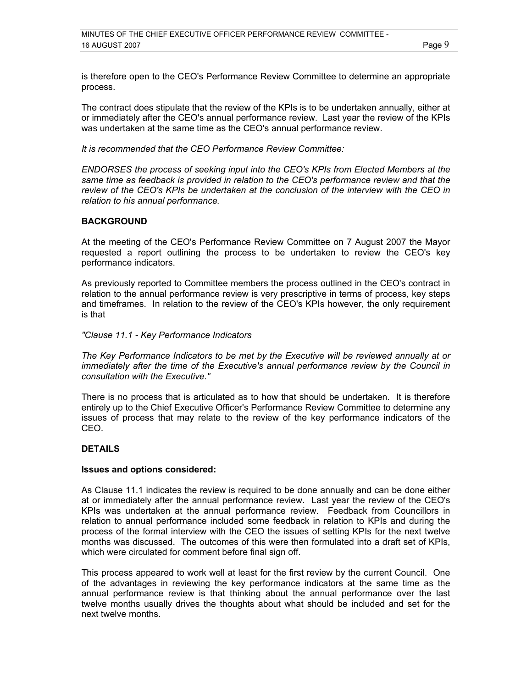is therefore open to the CEO's Performance Review Committee to determine an appropriate process.

The contract does stipulate that the review of the KPIs is to be undertaken annually, either at or immediately after the CEO's annual performance review. Last year the review of the KPIs was undertaken at the same time as the CEO's annual performance review.

*It is recommended that the CEO Performance Review Committee:* 

*ENDORSES the process of seeking input into the CEO's KPIs from Elected Members at the same time as feedback is provided in relation to the CEO's performance review and that the review of the CEO's KPIs be undertaken at the conclusion of the interview with the CEO in relation to his annual performance.* 

## **BACKGROUND**

At the meeting of the CEO's Performance Review Committee on 7 August 2007 the Mayor requested a report outlining the process to be undertaken to review the CEO's key performance indicators.

As previously reported to Committee members the process outlined in the CEO's contract in relation to the annual performance review is very prescriptive in terms of process, key steps and timeframes. In relation to the review of the CEO's KPIs however, the only requirement is that

#### *"Clause 11.1 - Key Performance Indicators*

*The Key Performance Indicators to be met by the Executive will be reviewed annually at or immediately after the time of the Executive's annual performance review by the Council in consultation with the Executive."* 

There is no process that is articulated as to how that should be undertaken. It is therefore entirely up to the Chief Executive Officer's Performance Review Committee to determine any issues of process that may relate to the review of the key performance indicators of the CEO.

### **DETAILS**

#### **Issues and options considered:**

As Clause 11.1 indicates the review is required to be done annually and can be done either at or immediately after the annual performance review. Last year the review of the CEO's KPIs was undertaken at the annual performance review. Feedback from Councillors in relation to annual performance included some feedback in relation to KPIs and during the process of the formal interview with the CEO the issues of setting KPIs for the next twelve months was discussed. The outcomes of this were then formulated into a draft set of KPIs, which were circulated for comment before final sign off.

This process appeared to work well at least for the first review by the current Council. One of the advantages in reviewing the key performance indicators at the same time as the annual performance review is that thinking about the annual performance over the last twelve months usually drives the thoughts about what should be included and set for the next twelve months.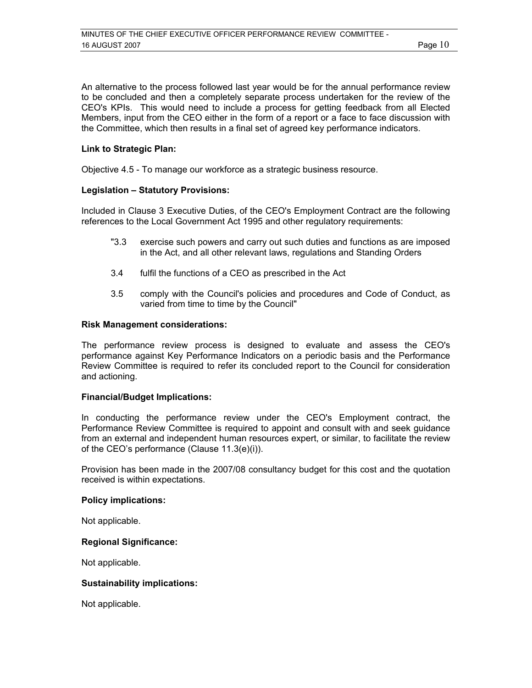An alternative to the process followed last year would be for the annual performance review to be concluded and then a completely separate process undertaken for the review of the CEO's KPIs. This would need to include a process for getting feedback from all Elected Members, input from the CEO either in the form of a report or a face to face discussion with the Committee, which then results in a final set of agreed key performance indicators.

## **Link to Strategic Plan:**

Objective 4.5 - To manage our workforce as a strategic business resource.

## **Legislation – Statutory Provisions:**

Included in Clause 3 Executive Duties, of the CEO's Employment Contract are the following references to the Local Government Act 1995 and other regulatory requirements:

- "3.3 exercise such powers and carry out such duties and functions as are imposed in the Act, and all other relevant laws, regulations and Standing Orders
- 3.4 fulfil the functions of a CEO as prescribed in the Act
- 3.5 comply with the Council's policies and procedures and Code of Conduct, as varied from time to time by the Council"

#### **Risk Management considerations:**

The performance review process is designed to evaluate and assess the CEO's performance against Key Performance Indicators on a periodic basis and the Performance Review Committee is required to refer its concluded report to the Council for consideration and actioning.

#### **Financial/Budget Implications:**

In conducting the performance review under the CEO's Employment contract, the Performance Review Committee is required to appoint and consult with and seek guidance from an external and independent human resources expert, or similar, to facilitate the review of the CEO's performance (Clause 11.3(e)(i)).

Provision has been made in the 2007/08 consultancy budget for this cost and the quotation received is within expectations.

#### **Policy implications:**

Not applicable.

#### **Regional Significance:**

Not applicable.

## **Sustainability implications:**

Not applicable.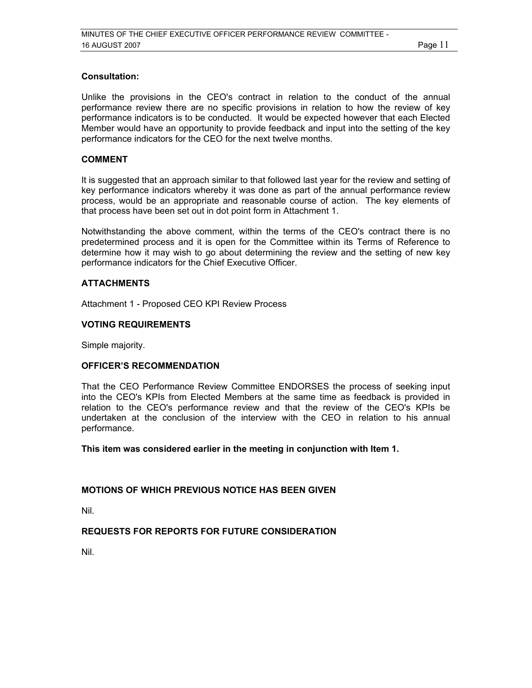## **Consultation:**

Unlike the provisions in the CEO's contract in relation to the conduct of the annual performance review there are no specific provisions in relation to how the review of key performance indicators is to be conducted. It would be expected however that each Elected Member would have an opportunity to provide feedback and input into the setting of the key performance indicators for the CEO for the next twelve months.

## **COMMENT**

It is suggested that an approach similar to that followed last year for the review and setting of key performance indicators whereby it was done as part of the annual performance review process, would be an appropriate and reasonable course of action. The key elements of that process have been set out in dot point form in Attachment 1.

Notwithstanding the above comment, within the terms of the CEO's contract there is no predetermined process and it is open for the Committee within its Terms of Reference to determine how it may wish to go about determining the review and the setting of new key performance indicators for the Chief Executive Officer.

## **ATTACHMENTS**

Attachment 1 - Proposed CEO KPI Review Process

## **VOTING REQUIREMENTS**

Simple majority.

## **OFFICER'S RECOMMENDATION**

That the CEO Performance Review Committee ENDORSES the process of seeking input into the CEO's KPIs from Elected Members at the same time as feedback is provided in relation to the CEO's performance review and that the review of the CEO's KPIs be undertaken at the conclusion of the interview with the CEO in relation to his annual performance.

**This item was considered earlier in the meeting in conjunction with Item 1.** 

## **MOTIONS OF WHICH PREVIOUS NOTICE HAS BEEN GIVEN**

Nil.

## **REQUESTS FOR REPORTS FOR FUTURE CONSIDERATION**

Nil.